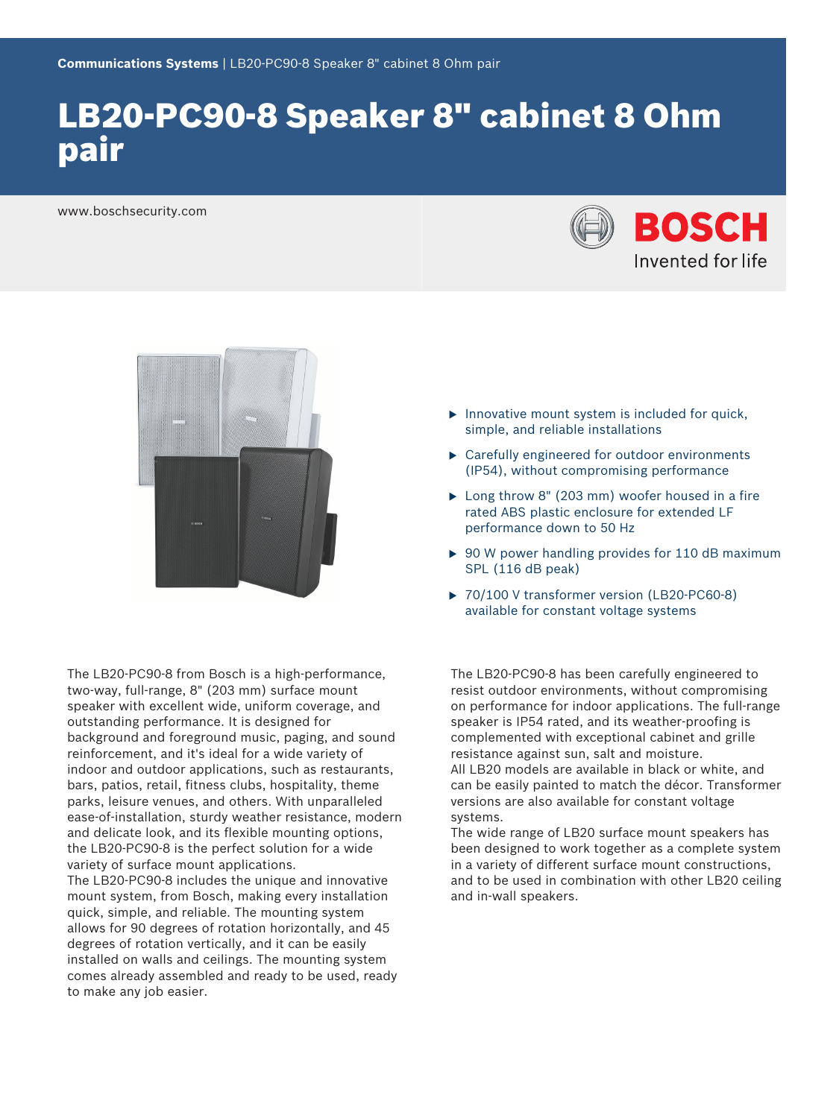# LB20-PC90-8 Speaker 8" cabinet 8 Ohm pair

www.boschsecurity.com





The LB20-PC90-8 from Bosch is a high-performance, two-way, full-range, 8" (203 mm) surface mount speaker with excellent wide, uniform coverage, and outstanding performance. It is designed for background and foreground music, paging, and sound reinforcement, and it's ideal for a wide variety of indoor and outdoor applications, such as restaurants, bars, patios, retail, fitness clubs, hospitality, theme parks, leisure venues, and others. With unparalleled ease-of-installation, sturdy weather resistance, modern and delicate look, and its flexible mounting options, the LB20-PC90-8 is the perfect solution for a wide variety of surface mount applications. The LB20-PC90-8 includes the unique and innovative mount system, from Bosch, making every installation quick, simple, and reliable. The mounting system allows for 90 degrees of rotation horizontally, and 45 degrees of rotation vertically, and it can be easily installed on walls and ceilings. The mounting system comes already assembled and ready to be used, ready to make any job easier.

- $\blacktriangleright$  Innovative mount system is included for quick, simple, and reliable installations
- $\blacktriangleright$  Carefully engineered for outdoor environments (IP54), without compromising performance
- $\blacktriangleright$  Long throw 8" (203 mm) woofer housed in a fire rated ABS plastic enclosure for extended LF performance down to 50 Hz
- $\triangleright$  90 W power handling provides for 110 dB maximum SPL (116 dB peak)
- ▶ 70/100 V transformer version (LB20-PC60-8) available for constant voltage systems

The LB20-PC90-8 has been carefully engineered to resist outdoor environments, without compromising on performance for indoor applications. The full-range speaker is IP54 rated, and its weather-proofing is complemented with exceptional cabinet and grille resistance against sun, salt and moisture. All LB20 models are available in black or white, and can be easily painted to match the décor. Transformer versions are also available for constant voltage systems.

The wide range of LB20 surface mount speakers has been designed to work together as a complete system in a variety of different surface mount constructions, and to be used in combination with other LB20 ceiling and in-wall speakers.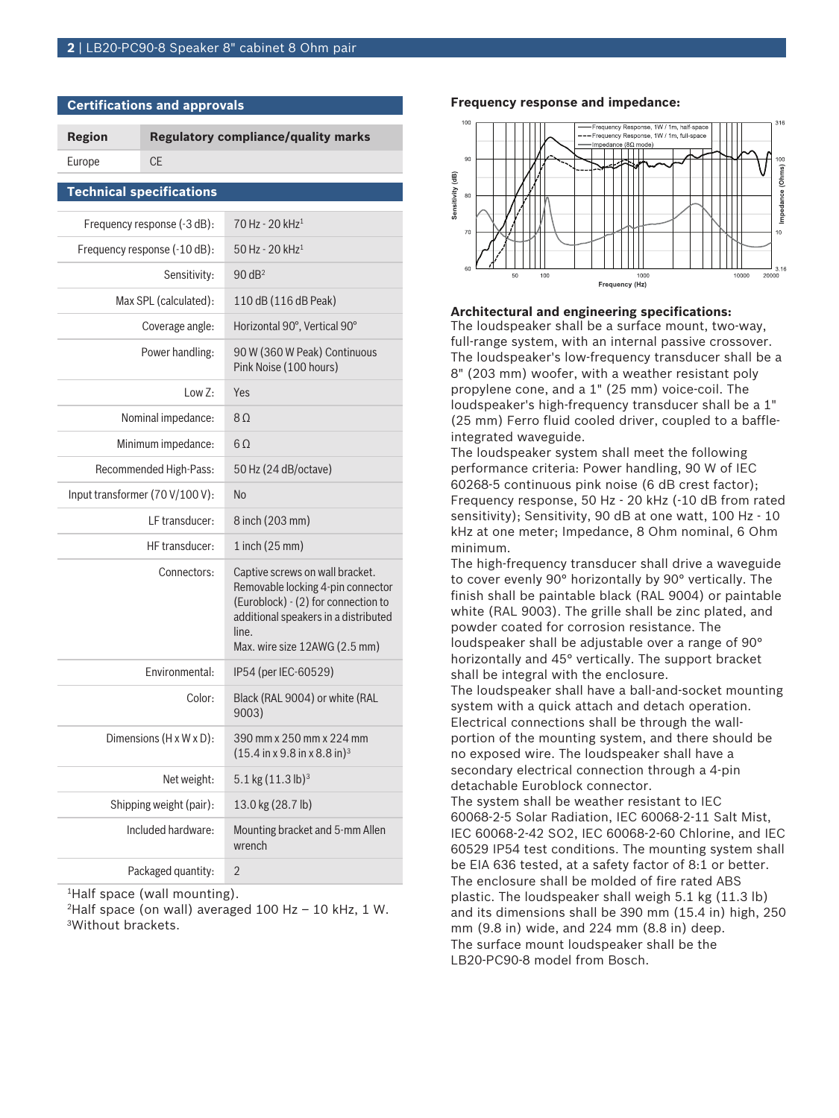**Certifications and approvals**

| <b>Region</b>                   |           | <b>Regulatory compliance/quality marks</b>                                                                                                                                                    |
|---------------------------------|-----------|-----------------------------------------------------------------------------------------------------------------------------------------------------------------------------------------------|
| Europe                          | <b>CE</b> |                                                                                                                                                                                               |
| <b>Technical specifications</b> |           |                                                                                                                                                                                               |
| Frequency response (-3 dB):     |           | 70 Hz - 20 kHz <sup>1</sup>                                                                                                                                                                   |
| Frequency response (-10 dB):    |           | $50$ Hz - 20 kHz <sup>1</sup>                                                                                                                                                                 |
| Sensitivity:                    |           | $90$ dB <sup>2</sup>                                                                                                                                                                          |
| Max SPL (calculated):           |           | 110 dB (116 dB Peak)                                                                                                                                                                          |
| Coverage angle:                 |           | Horizontal 90°, Vertical 90°                                                                                                                                                                  |
| Power handling:                 |           | 90 W (360 W Peak) Continuous<br>Pink Noise (100 hours)                                                                                                                                        |
| Low $Z:$                        |           | Yes                                                                                                                                                                                           |
| Nominal impedance:              |           | 8 <sub>0</sub>                                                                                                                                                                                |
| Minimum impedance:              |           | 60                                                                                                                                                                                            |
| Recommended High-Pass:          |           | 50 Hz (24 dB/octave)                                                                                                                                                                          |
| Input transformer (70 V/100 V): |           | <b>No</b>                                                                                                                                                                                     |
| LF transducer:                  |           | 8 inch (203 mm)                                                                                                                                                                               |
| HF transducer:                  |           | 1 inch (25 mm)                                                                                                                                                                                |
| Connectors:                     |           | Captive screws on wall bracket.<br>Removable locking 4-pin connector<br>(Euroblock) - (2) for connection to<br>additional speakers in a distributed<br>line.<br>Max. wire size 12AWG (2.5 mm) |
| Environmental:                  |           | IP54 (per IEC-60529)                                                                                                                                                                          |
| Color:                          |           | Black (RAL 9004) or white (RAL<br>9003)                                                                                                                                                       |
| Dimensions (H x W x D):         |           | 390 mm x 250 mm x 224 mm<br>$(15.4 \text{ in } x 9.8 \text{ in } x 8.8 \text{ in})^3$                                                                                                         |
| Net weight:                     |           | 5.1 kg $(11.3 \text{ lb})^3$                                                                                                                                                                  |
| Shipping weight (pair):         |           | 13.0 kg (28.7 lb)                                                                                                                                                                             |
| Included hardware:              |           | Mounting bracket and 5-mm Allen<br>wrench                                                                                                                                                     |
| Packaged quantity:              |           | 2                                                                                                                                                                                             |

<sup>1</sup>Half space (wall mounting).

<sup>2</sup>Half space (on wall) averaged 100 Hz - 10 kHz, 1 W. <sup>3</sup>Without brackets.

#### **Frequency response and impedance:**



#### **Architectural and engineering specifications:**

The loudspeaker shall be a surface mount, two-way, full-range system, with an internal passive crossover. The loudspeaker's low-frequency transducer shall be a 8" (203 mm) woofer, with a weather resistant poly propylene cone, and a 1" (25 mm) voice-coil. The loudspeaker's high-frequency transducer shall be a 1" (25 mm) Ferro fluid cooled driver, coupled to a baffleintegrated waveguide.

The loudspeaker system shall meet the following performance criteria: Power handling, 90 W of IEC 60268-5 continuous pink noise (6 dB crest factor); Frequency response, 50 Hz - 20 kHz (-10 dB from rated sensitivity); Sensitivity, 90 dB at one watt, 100 Hz - 10 kHz at one meter; Impedance, 8 Ohm nominal, 6 Ohm minimum.

The high-frequency transducer shall drive a waveguide to cover evenly 90° horizontally by 90° vertically. The finish shall be paintable black (RAL 9004) or paintable white (RAL 9003). The grille shall be zinc plated, and powder coated for corrosion resistance. The loudspeaker shall be adjustable over a range of 90° horizontally and 45° vertically. The support bracket shall be integral with the enclosure.

The loudspeaker shall have a ball-and-socket mounting system with a quick attach and detach operation. Electrical connections shall be through the wallportion of the mounting system, and there should be no exposed wire. The loudspeaker shall have a secondary electrical connection through a 4-pin detachable Euroblock connector.

The system shall be weather resistant to IEC 60068-2-5 Solar Radiation, IEC 60068-2-11 Salt Mist, IEC 60068-2-42 SO2, IEC 60068-2-60 Chlorine, and IEC 60529 IP54 test conditions. The mounting system shall be EIA 636 tested, at a safety factor of 8:1 or better. The enclosure shall be molded of fire rated ABS plastic. The loudspeaker shall weigh 5.1 kg (11.3 lb) and its dimensions shall be 390 mm (15.4 in) high, 250 mm (9.8 in) wide, and 224 mm (8.8 in) deep. The surface mount loudspeaker shall be the LB20-PC90-8 model from Bosch.